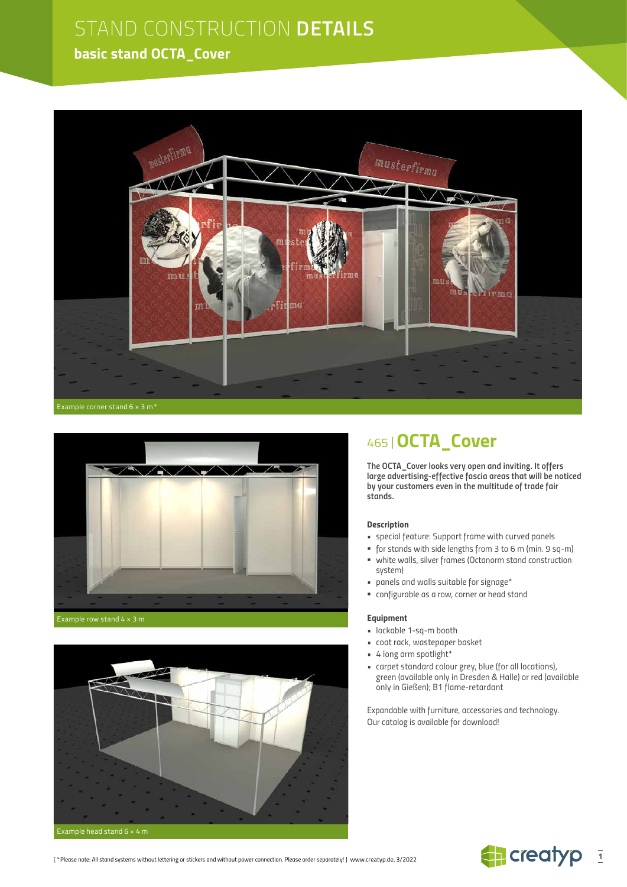## **basic stand OCTA\_Cover**





Example row stand 4 × 3 m



## 465 |**OCTA\_Cover**

*The OCTA\_Cover looks very open and inviting. It offers large advertising-effective fascia areas that will be noticed by your customers even in the multitude of trade fair stands.*

#### *Description*

- *special feature: Support frame with curved panels*
- *for stands with side lengths from 3 to 6 m (min. 9 sq-m) white walls, silver frames (Octanorm stand construction*
- *system) • panels and walls suitable for signage\**
- *configurable as a row, corner or head stand*

#### *Equipment*

- *lockable 1-sq-m booth*
- *coat rack, wastepaper basket*
- *• 4 long arm spotlight\**
- *carpet standard colour grey, blue (for all locations), green (available only in Dresden & Halle) or red (available only in Gießen); B1 flame-retardant*

*Expandable with furniture, accessories and technology. Our catalog is available for download!*

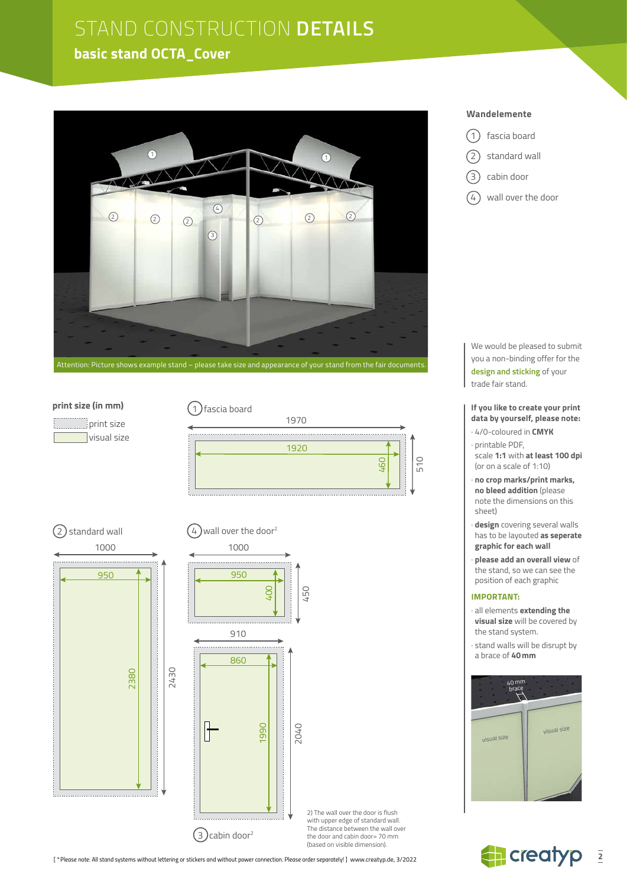### **basic stand OCTA\_Cover**



#### **print size (in mm)**

 print size visual size







2) The wall over the door is flush with upper edge of standard wall. The distance between the wall over the door and cabin door= 70 mm (based on visible dimension).

*[ \*Please note: All stand systems without lettering or stickers and without power connection. Please order separately! ]* www.creatyp.de, 3/2022

#### **Wandelemente**

- 1 fascia board
- 2) standard wall
- 3) cabin door
- $(4)$  wall over the door

We would be pleased to submit you a non-binding offer for the **design and sticking** of your trade fair stand.

**If you like to create your print data by yourself, please note:**

- · 4/0-coloured in **CMYK**
- · printable PDF, scale **1:1** with **at least 100 dpi** (or on a scale of 1:10)
- · **no crop marks/print marks, no bleed addition** (please note the dimensions on this sheet)
- · **design** covering several walls has to be layouted **as seperate graphic for each wall**
- · **please add an overall view** of the stand, so we can see the position of each graphic

#### **IMPORTANT:**

- · all elements **extending the visual size** will be covered by the stand system.
- · stand walls will be disrupt by a brace of **40mm**



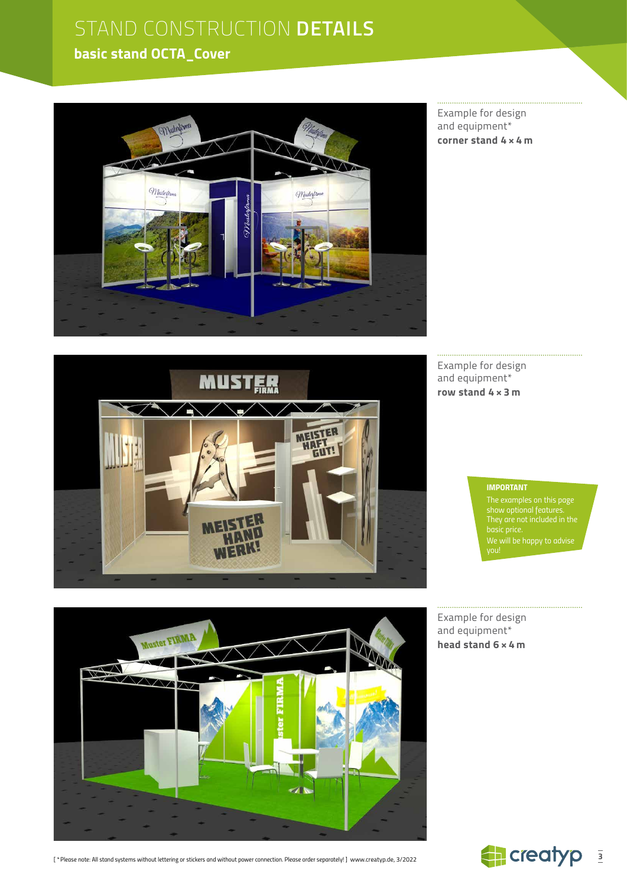## **basic stand OCTA\_Cover**



Example for design and equipment\* **corner stand 4 × 4 m**



Example for design and equipment\* **row stand 4 × 3 m**

#### *IMPORTANT*

*The examples on this page show optional features. We will be happy to advise* 

Example for design and equipment\* **head stand 6 × 4 m**



*[ \*Please note: All stand systems without lettering or stickers and without power connection. Please order separately! ]* www.creatyp.de, 3/2022